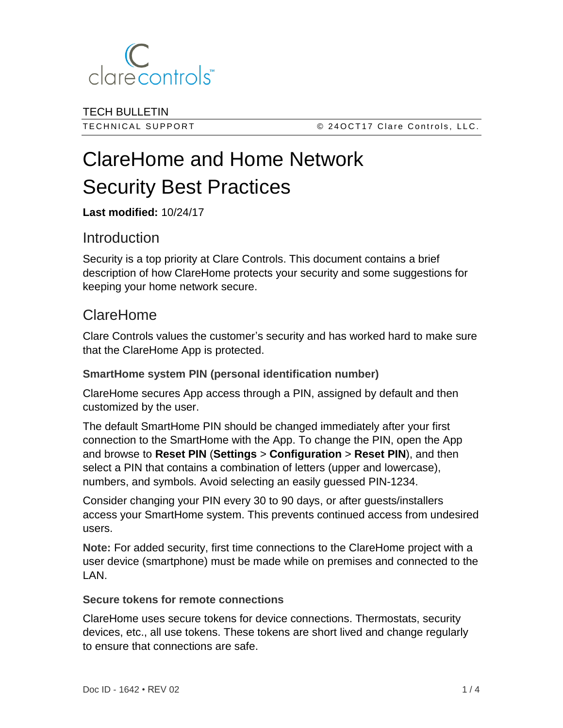

TECH BULLETIN

TECHNICAL SUPPORT CERT CLASS CONTROLL SUPPORT CONTROLL CLASS CONTROLLER CONTROLLER SUPPORT

# ClareHome and Home Network Security Best Practices

**Last modified:** 10/24/17

# Introduction

Security is a top priority at Clare Controls. This document contains a brief description of how ClareHome protects your security and some suggestions for keeping your home network secure.

# ClareHome

Clare Controls values the customer's security and has worked hard to make sure that the ClareHome App is protected.

# **SmartHome system PIN (personal identification number)**

ClareHome secures App access through a PIN, assigned by default and then customized by the user.

The default SmartHome PIN should be changed immediately after your first connection to the SmartHome with the App. To change the PIN, open the App and browse to **Reset PIN** (**Settings** > **Configuration** > **Reset PIN**), and then select a PIN that contains a combination of letters (upper and lowercase), numbers, and symbols. Avoid selecting an easily guessed PIN-1234.

Consider changing your PIN every 30 to 90 days, or after guests/installers access your SmartHome system. This prevents continued access from undesired users.

**Note:** For added security, first time connections to the ClareHome project with a user device (smartphone) must be made while on premises and connected to the LAN.

#### **Secure tokens for remote connections**

ClareHome uses secure tokens for device connections. Thermostats, security devices, etc., all use tokens. These tokens are short lived and change regularly to ensure that connections are safe.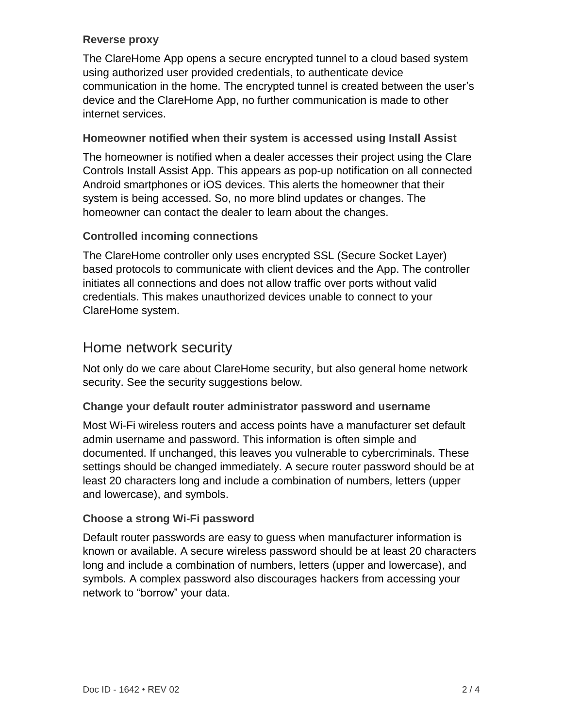#### **Reverse proxy**

The ClareHome App opens a secure encrypted tunnel to a cloud based system using authorized user provided credentials, to authenticate device communication in the home. The encrypted tunnel is created between the user's device and the ClareHome App, no further communication is made to other internet services.

## **Homeowner notified when their system is accessed using Install Assist**

The homeowner is notified when a dealer accesses their project using the Clare Controls Install Assist App. This appears as pop-up notification on all connected Android smartphones or iOS devices. This alerts the homeowner that their system is being accessed. So, no more blind updates or changes. The homeowner can contact the dealer to learn about the changes.

## **Controlled incoming connections**

The ClareHome controller only uses encrypted SSL (Secure Socket Layer) based protocols to communicate with client devices and the App. The controller initiates all connections and does not allow traffic over ports without valid credentials. This makes unauthorized devices unable to connect to your ClareHome system.

# Home network security

Not only do we care about ClareHome security, but also general home network security. See the security suggestions below.

#### **Change your default router administrator password and username**

Most Wi-Fi wireless routers and access points have a manufacturer set default admin username and password. This information is often simple and documented. If unchanged, this leaves you vulnerable to cybercriminals. These settings should be changed immediately. A secure router password should be at least 20 characters long and include a combination of numbers, letters (upper and lowercase), and symbols.

#### **Choose a strong Wi-Fi password**

Default router passwords are easy to guess when manufacturer information is known or available. A secure wireless password should be at least 20 characters long and include a combination of numbers, letters (upper and lowercase), and symbols. A complex password also discourages hackers from accessing your network to "borrow" your data.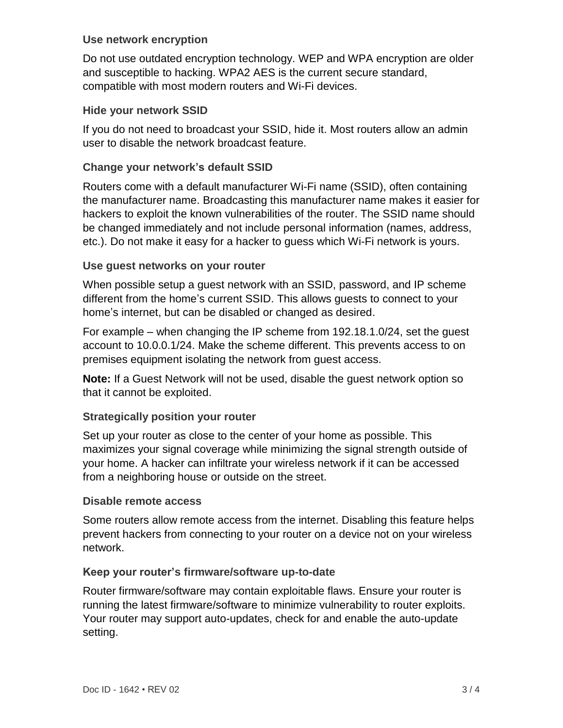#### **Use network encryption**

Do not use outdated encryption technology. WEP and WPA encryption are older and susceptible to hacking. WPA2 AES is the current secure standard, compatible with most modern routers and Wi-Fi devices.

#### **Hide your network SSID**

If you do not need to broadcast your SSID, hide it. Most routers allow an admin user to disable the network broadcast feature.

## **Change your network's default SSID**

Routers come with a default manufacturer Wi-Fi name (SSID), often containing the manufacturer name. Broadcasting this manufacturer name makes it easier for hackers to exploit the known vulnerabilities of the router. The SSID name should be changed immediately and not include personal information (names, address, etc.). Do not make it easy for a hacker to guess which Wi-Fi network is yours.

## **Use guest networks on your router**

When possible setup a guest network with an SSID, password, and IP scheme different from the home's current SSID. This allows guests to connect to your home's internet, but can be disabled or changed as desired.

For example – when changing the IP scheme from 192.18.1.0/24, set the guest account to 10.0.0.1/24. Make the scheme different. This prevents access to on premises equipment isolating the network from guest access.

**Note:** If a Guest Network will not be used, disable the guest network option so that it cannot be exploited.

# **Strategically position your router**

Set up your router as close to the center of your home as possible. This maximizes your signal coverage while minimizing the signal strength outside of your home. A hacker can infiltrate your wireless network if it can be accessed from a neighboring house or outside on the street.

#### **Disable remote access**

Some routers allow remote access from the internet. Disabling this feature helps prevent hackers from connecting to your router on a device not on your wireless network.

#### **Keep your router's firmware/software up-to-date**

Router firmware/software may contain exploitable flaws. Ensure your router is running the latest firmware/software to minimize vulnerability to router exploits. Your router may support auto-updates, check for and enable the auto-update setting.